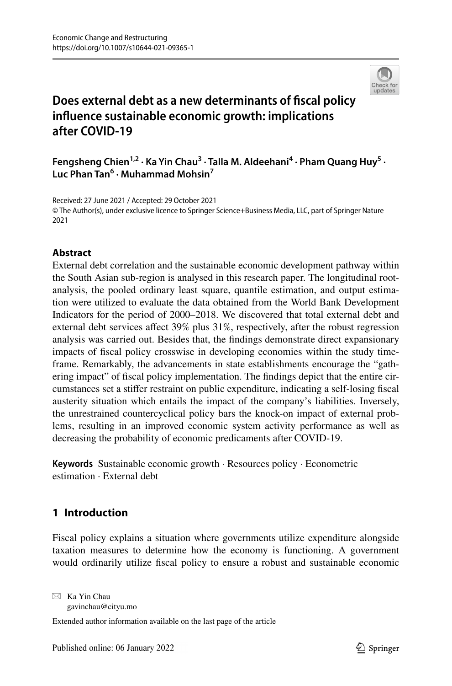

# **Does external debt as a new determinants of fscal policy infuence sustainable economic growth: implications after COVID‑19**

Fengsheng Chien<sup>1,2</sup> · Ka Yin Chau<sup>3</sup> · Talla M. Aldeehani<sup>4</sup> · Pham Quang Huy<sup>5</sup> · **Luc Phan Tan<sup>6</sup> · Muhammad Mohsin7**

Received: 27 June 2021 / Accepted: 29 October 2021 © The Author(s), under exclusive licence to Springer Science+Business Media, LLC, part of Springer Nature 2021

## **Abstract**

External debt correlation and the sustainable economic development pathway within the South Asian sub-region is analysed in this research paper. The longitudinal rootanalysis, the pooled ordinary least square, quantile estimation, and output estimation were utilized to evaluate the data obtained from the World Bank Development Indicators for the period of 2000–2018. We discovered that total external debt and external debt services affect 39% plus 31%, respectively, after the robust regression analysis was carried out. Besides that, the fndings demonstrate direct expansionary impacts of fscal policy crosswise in developing economies within the study timeframe. Remarkably, the advancements in state establishments encourage the "gathering impact" of fscal policy implementation. The fndings depict that the entire circumstances set a stifer restraint on public expenditure, indicating a self-losing fscal austerity situation which entails the impact of the company's liabilities. Inversely, the unrestrained countercyclical policy bars the knock-on impact of external problems, resulting in an improved economic system activity performance as well as decreasing the probability of economic predicaments after COVID-19.

**Keywords** Sustainable economic growth · Resources policy · Econometric estimation · External debt

# **1 Introduction**

Fiscal policy explains a situation where governments utilize expenditure alongside taxation measures to determine how the economy is functioning. A government would ordinarily utilize fscal policy to ensure a robust and sustainable economic

 $\boxtimes$  Ka Yin Chau gavinchau@cityu.mo

Extended author information available on the last page of the article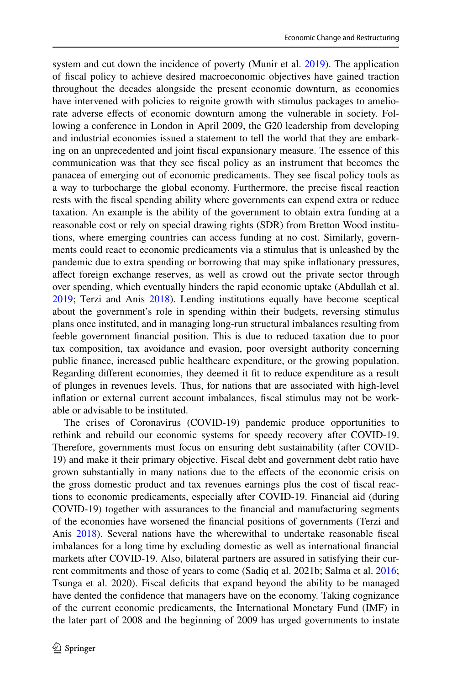system and cut down the incidence of poverty (Munir et al. [2019](#page-18-0)). The application of fscal policy to achieve desired macroeconomic objectives have gained traction throughout the decades alongside the present economic downturn, as economies have intervened with policies to reignite growth with stimulus packages to ameliorate adverse efects of economic downturn among the vulnerable in society. Following a conference in London in April 2009, the G20 leadership from developing and industrial economies issued a statement to tell the world that they are embarking on an unprecedented and joint fscal expansionary measure. The essence of this communication was that they see fscal policy as an instrument that becomes the panacea of emerging out of economic predicaments. They see fscal policy tools as a way to turbocharge the global economy. Furthermore, the precise fscal reaction rests with the fscal spending ability where governments can expend extra or reduce taxation. An example is the ability of the government to obtain extra funding at a reasonable cost or rely on special drawing rights (SDR) from Bretton Wood institutions, where emerging countries can access funding at no cost. Similarly, governments could react to economic predicaments via a stimulus that is unleashed by the pandemic due to extra spending or borrowing that may spike infationary pressures, afect foreign exchange reserves, as well as crowd out the private sector through over spending, which eventually hinders the rapid economic uptake (Abdullah et al. [2019](#page-17-0); Terzi and Anis [2018](#page-19-0)). Lending institutions equally have become sceptical about the government's role in spending within their budgets, reversing stimulus plans once instituted, and in managing long-run structural imbalances resulting from feeble government fnancial position. This is due to reduced taxation due to poor tax composition, tax avoidance and evasion, poor oversight authority concerning public fnance, increased public healthcare expenditure, or the growing population. Regarding diferent economies, they deemed it ft to reduce expenditure as a result of plunges in revenues levels. Thus, for nations that are associated with high-level infation or external current account imbalances, fscal stimulus may not be workable or advisable to be instituted.

The crises of Coronavirus (COVID-19) pandemic produce opportunities to rethink and rebuild our economic systems for speedy recovery after COVID-19. Therefore, governments must focus on ensuring debt sustainability (after COVID-19) and make it their primary objective. Fiscal debt and government debt ratio have grown substantially in many nations due to the efects of the economic crisis on the gross domestic product and tax revenues earnings plus the cost of fscal reactions to economic predicaments, especially after COVID-19. Financial aid (during COVID-19) together with assurances to the fnancial and manufacturing segments of the economies have worsened the fnancial positions of governments (Terzi and Anis [2018](#page-19-0)). Several nations have the wherewithal to undertake reasonable fiscal imbalances for a long time by excluding domestic as well as international fnancial markets after COVID-19. Also, bilateral partners are assured in satisfying their current commitments and those of years to come (Sadiq et al. 2021b; Salma et al. [2016;](#page-19-1) Tsunga et al. 2020). Fiscal deficits that expand beyond the ability to be managed have dented the confdence that managers have on the economy. Taking cognizance of the current economic predicaments, the International Monetary Fund (IMF) in the later part of 2008 and the beginning of 2009 has urged governments to instate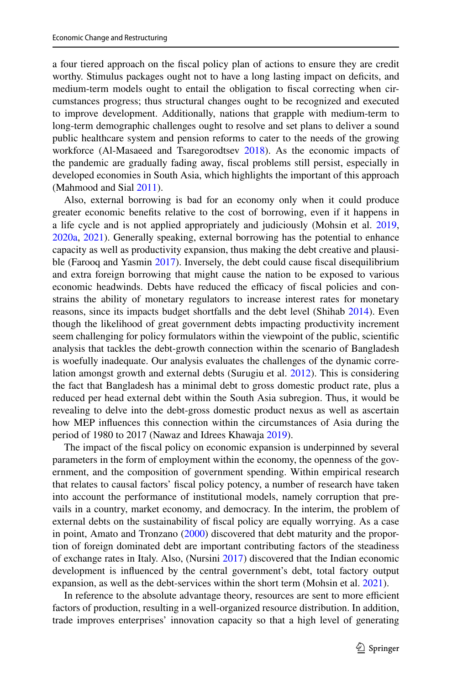a four tiered approach on the fscal policy plan of actions to ensure they are credit worthy. Stimulus packages ought not to have a long lasting impact on deficits, and medium-term models ought to entail the obligation to fscal correcting when circumstances progress; thus structural changes ought to be recognized and executed to improve development. Additionally, nations that grapple with medium-term to long-term demographic challenges ought to resolve and set plans to deliver a sound public healthcare system and pension reforms to cater to the needs of the growing workforce (Al-Masaeed and Tsaregorodtsev [2018\)](#page-17-1). As the economic impacts of the pandemic are gradually fading away, fscal problems still persist, especially in developed economies in South Asia, which highlights the important of this approach (Mahmood and Sial [2011\)](#page-18-1).

Also, external borrowing is bad for an economy only when it could produce greater economic benefts relative to the cost of borrowing, even if it happens in a life cycle and is not applied appropriately and judiciously (Mohsin et al. [2019,](#page-18-2) [2020a](#page-18-3), [2021](#page-18-4)). Generally speaking, external borrowing has the potential to enhance capacity as well as productivity expansion, thus making the debt creative and plausible (Farooq and Yasmin [2017\)](#page-18-5). Inversely, the debt could cause fscal disequilibrium and extra foreign borrowing that might cause the nation to be exposed to various economic headwinds. Debts have reduced the efficacy of fiscal policies and constrains the ability of monetary regulators to increase interest rates for monetary reasons, since its impacts budget shortfalls and the debt level (Shihab [2014\)](#page-19-2). Even though the likelihood of great government debts impacting productivity increment seem challenging for policy formulators within the viewpoint of the public, scientifc analysis that tackles the debt-growth connection within the scenario of Bangladesh is woefully inadequate. Our analysis evaluates the challenges of the dynamic correlation amongst growth and external debts (Surugiu et al. [2012](#page-19-3)). This is considering the fact that Bangladesh has a minimal debt to gross domestic product rate, plus a reduced per head external debt within the South Asia subregion. Thus, it would be revealing to delve into the debt-gross domestic product nexus as well as ascertain how MEP infuences this connection within the circumstances of Asia during the period of 1980 to 2017 (Nawaz and Idrees Khawaja [2019](#page-19-4)).

The impact of the fscal policy on economic expansion is underpinned by several parameters in the form of employment within the economy, the openness of the government, and the composition of government spending. Within empirical research that relates to causal factors' fscal policy potency, a number of research have taken into account the performance of institutional models, namely corruption that prevails in a country, market economy, and democracy. In the interim, the problem of external debts on the sustainability of fscal policy are equally worrying. As a case in point, Amato and Tronzano [\(2000](#page-17-2)) discovered that debt maturity and the proportion of foreign dominated debt are important contributing factors of the steadiness of exchange rates in Italy. Also, (Nursini [2017\)](#page-19-5) discovered that the Indian economic development is infuenced by the central government's debt, total factory output expansion, as well as the debt-services within the short term (Mohsin et al. [2021\)](#page-18-4).

In reference to the absolute advantage theory, resources are sent to more efficient factors of production, resulting in a well-organized resource distribution. In addition, trade improves enterprises' innovation capacity so that a high level of generating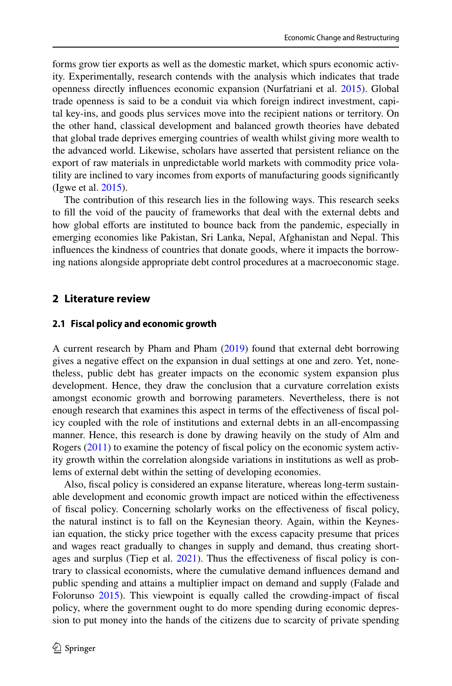forms grow tier exports as well as the domestic market, which spurs economic activity. Experimentally, research contends with the analysis which indicates that trade openness directly infuences economic expansion (Nurfatriani et al. [2015\)](#page-19-6). Global trade openness is said to be a conduit via which foreign indirect investment, capital key-ins, and goods plus services move into the recipient nations or territory. On the other hand, classical development and balanced growth theories have debated that global trade deprives emerging countries of wealth whilst giving more wealth to the advanced world. Likewise, scholars have asserted that persistent reliance on the export of raw materials in unpredictable world markets with commodity price volatility are inclined to vary incomes from exports of manufacturing goods signifcantly (Igwe et al. [2015\)](#page-18-6).

The contribution of this research lies in the following ways. This research seeks to fll the void of the paucity of frameworks that deal with the external debts and how global efforts are instituted to bounce back from the pandemic, especially in emerging economies like Pakistan, Sri Lanka, Nepal, Afghanistan and Nepal. This infuences the kindness of countries that donate goods, where it impacts the borrowing nations alongside appropriate debt control procedures at a macroeconomic stage.

### **2 Literature review**

#### **2.1 Fiscal policy and economic growth**

A current research by Pham and Pham [\(2019](#page-19-7)) found that external debt borrowing gives a negative efect on the expansion in dual settings at one and zero. Yet, nonetheless, public debt has greater impacts on the economic system expansion plus development. Hence, they draw the conclusion that a curvature correlation exists amongst economic growth and borrowing parameters. Nevertheless, there is not enough research that examines this aspect in terms of the efectiveness of fscal policy coupled with the role of institutions and external debts in an all-encompassing manner. Hence, this research is done by drawing heavily on the study of Alm and Rogers ([2011\)](#page-17-3) to examine the potency of fscal policy on the economic system activity growth within the correlation alongside variations in institutions as well as problems of external debt within the setting of developing economies.

Also, fscal policy is considered an expanse literature, whereas long-term sustainable development and economic growth impact are noticed within the efectiveness of fscal policy. Concerning scholarly works on the efectiveness of fscal policy, the natural instinct is to fall on the Keynesian theory. Again, within the Keynesian equation, the sticky price together with the excess capacity presume that prices and wages react gradually to changes in supply and demand, thus creating short-ages and surplus (Tiep et al. [2021\)](#page-19-8). Thus the effectiveness of fiscal policy is contrary to classical economists, where the cumulative demand infuences demand and public spending and attains a multiplier impact on demand and supply (Falade and Folorunso [2015](#page-18-7)). This viewpoint is equally called the crowding-impact of fscal policy, where the government ought to do more spending during economic depression to put money into the hands of the citizens due to scarcity of private spending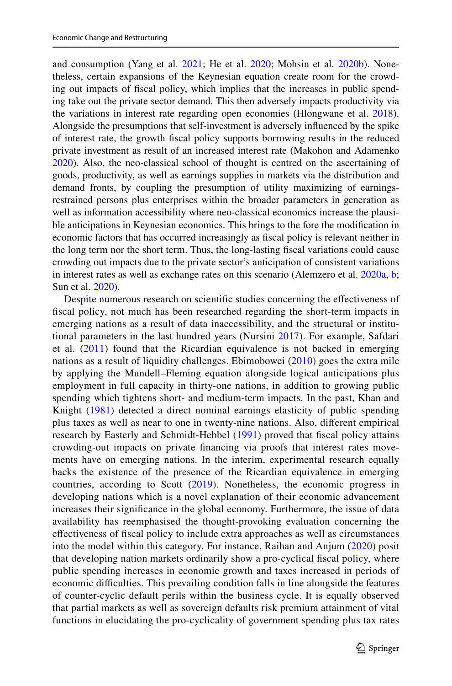and consumption (Yang et al. [2021](#page-20-0); He et al. [2020;](#page-18-8) Mohsin et al. [2020b\)](#page-18-9). Nonetheless, certain expansions of the Keynesian equation create room for the crowding out impacts of fscal policy, which implies that the increases in public spending take out the private sector demand. This then adversely impacts productivity via the variations in interest rate regarding open economies (Hlongwane et al. [2018\)](#page-18-10). Alongside the presumptions that self-investment is adversely infuenced by the spike of interest rate, the growth fscal policy supports borrowing results in the reduced private investment as result of an increased interest rate (Makohon and Adamenko [2020](#page-18-11)). Also, the neo-classical school of thought is centred on the ascertaining of goods, productivity, as well as earnings supplies in markets via the distribution and demand fronts, by coupling the presumption of utility maximizing of earningsrestrained persons plus enterprises within the broader parameters in generation as well as information accessibility where neo-classical economics increase the plausible anticipations in Keynesian economics. This brings to the fore the modifcation in economic factors that has occurred increasingly as fscal policy is relevant neither in the long term nor the short term. Thus, the long-lasting fscal variations could cause crowding out impacts due to the private sector's anticipation of consistent variations in interest rates as well as exchange rates on this scenario (Alemzero et al. [2020a](#page-17-4), [b;](#page-17-5) Sun et al. [2020\)](#page-19-9).

Despite numerous research on scientifc studies concerning the efectiveness of fscal policy, not much has been researched regarding the short-term impacts in emerging nations as a result of data inaccessibility, and the structural or institutional parameters in the last hundred years (Nursini [2017](#page-19-5)). For example, Safdari et al.  $(2011)$  found that the Ricardian equivalence is not backed in emerging nations as a result of liquidity challenges. Ebimobowei [\(2010](#page-18-12)) goes the extra mile by applying the Mundell–Fleming equation alongside logical anticipations plus employment in full capacity in thirty-one nations, in addition to growing public spending which tightens short- and medium-term impacts. In the past, Khan and Knight [\(1981\)](#page-18-13) detected a direct nominal earnings elasticity of public spending plus taxes as well as near to one in twenty-nine nations. Also, diferent empirical research by Easterly and Schmidt-Hebbel [\(1991\)](#page-18-14) proved that fscal policy attains crowding-out impacts on private fnancing via proofs that interest rates movements have on emerging nations. In the interim, experimental research equally backs the existence of the presence of the Ricardian equivalence in emerging countries, according to Scott [\(2019](#page-19-11)). Nonetheless, the economic progress in developing nations which is a novel explanation of their economic advancement increases their signifcance in the global economy. Furthermore, the issue of data availability has reemphasised the thought-provoking evaluation concerning the efectiveness of fscal policy to include extra approaches as well as circumstances into the model within this category. For instance, Raihan and Anjum ([2020](#page-19-12)) posit that developing nation markets ordinarily show a pro-cyclical fscal policy, where public spending increases in economic growth and taxes increased in periods of economic difficulties. This prevailing condition falls in line alongside the features of counter-cyclic default perils within the business cycle. It is equally observed that partial markets as well as sovereign defaults risk premium attainment of vital functions in elucidating the pro-cyclicality of government spending plus tax rates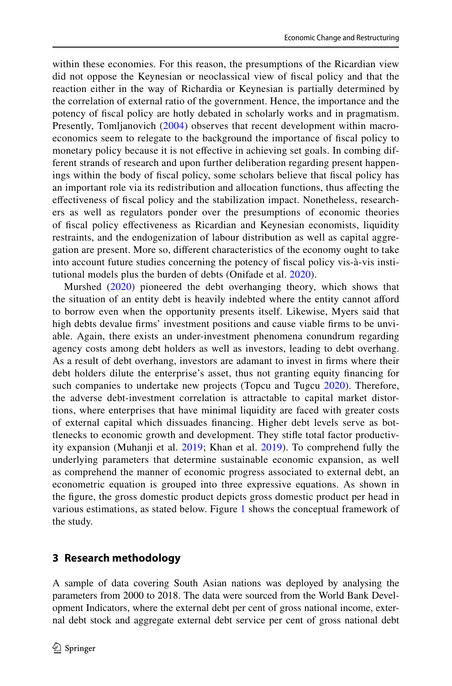within these economies. For this reason, the presumptions of the Ricardian view did not oppose the Keynesian or neoclassical view of fscal policy and that the reaction either in the way of Richardia or Keynesian is partially determined by the correlation of external ratio of the government. Hence, the importance and the potency of fscal policy are hotly debated in scholarly works and in pragmatism. Presently, Tomljanovich ([2004](#page-19-13)) observes that recent development within macroeconomics seem to relegate to the background the importance of fscal policy to monetary policy because it is not efective in achieving set goals. In combing different strands of research and upon further deliberation regarding present happenings within the body of fscal policy, some scholars believe that fscal policy has an important role via its redistribution and allocation functions, thus afecting the efectiveness of fscal policy and the stabilization impact. Nonetheless, researchers as well as regulators ponder over the presumptions of economic theories of fscal policy efectiveness as Ricardian and Keynesian economists, liquidity restraints, and the endogenization of labour distribution as well as capital aggregation are present. More so, diferent characteristics of the economy ought to take into account future studies concerning the potency of fscal policy vis-à-vis institutional models plus the burden of debts (Onifade et al. [2020](#page-19-14)).

Murshed [\(2020\)](#page-19-15) pioneered the debt overhanging theory, which shows that the situation of an entity debt is heavily indebted where the entity cannot aford to borrow even when the opportunity presents itself. Likewise, Myers said that high debts devalue frms' investment positions and cause viable frms to be unviable. Again, there exists an under-investment phenomena conundrum regarding agency costs among debt holders as well as investors, leading to debt overhang. As a result of debt overhang, investors are adamant to invest in frms where their debt holders dilute the enterprise's asset, thus not granting equity fnancing for such companies to undertake new projects (Topcu and Tugcu [2020\)](#page-20-1). Therefore, the adverse debt-investment correlation is attractable to capital market distortions, where enterprises that have minimal liquidity are faced with greater costs of external capital which dissuades fnancing. Higher debt levels serve as bottlenecks to economic growth and development. They stife total factor productivity expansion (Muhanji et al. [2019](#page-18-15); Khan et al. [2019\)](#page-18-16). To comprehend fully the underlying parameters that determine sustainable economic expansion, as well as comprehend the manner of economic progress associated to external debt, an econometric equation is grouped into three expressive equations. As shown in the fgure, the gross domestic product depicts gross domestic product per head in various estimations, as stated below. Figure [1](#page-6-0) shows the conceptual framework of the study.

### **3 Research methodology**

A sample of data covering South Asian nations was deployed by analysing the parameters from 2000 to 2018. The data were sourced from the World Bank Development Indicators, where the external debt per cent of gross national income, external debt stock and aggregate external debt service per cent of gross national debt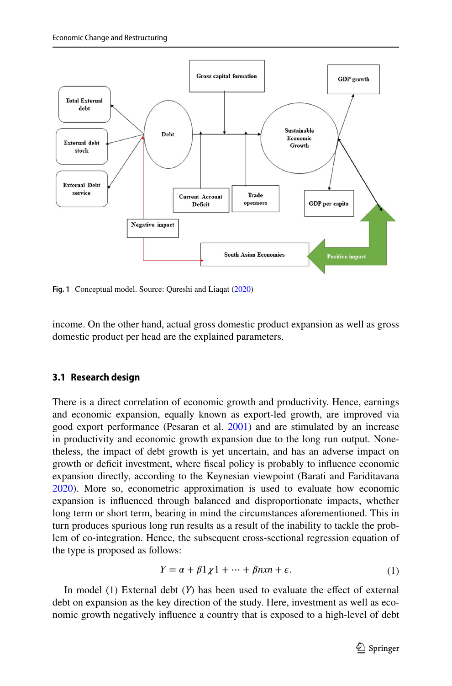

<span id="page-6-0"></span>**Fig. 1** Conceptual model. Source: Qureshi and Liaqat ([2020\)](#page-19-17)

income. On the other hand, actual gross domestic product expansion as well as gross domestic product per head are the explained parameters.

#### **3.1 Research design**

There is a direct correlation of economic growth and productivity. Hence, earnings and economic expansion, equally known as export-led growth, are improved via good export performance (Pesaran et al. [2001\)](#page-19-16) and are stimulated by an increase in productivity and economic growth expansion due to the long run output. Nonetheless, the impact of debt growth is yet uncertain, and has an adverse impact on growth or defcit investment, where fscal policy is probably to infuence economic expansion directly, according to the Keynesian viewpoint (Barati and Fariditavana [2020](#page-17-6)). More so, econometric approximation is used to evaluate how economic expansion is infuenced through balanced and disproportionate impacts, whether long term or short term, bearing in mind the circumstances aforementioned. This in turn produces spurious long run results as a result of the inability to tackle the problem of co-integration. Hence, the subsequent cross-sectional regression equation of the type is proposed as follows:

$$
Y = \alpha + \beta 1 \chi 1 + \dots + \beta n x n + \varepsilon. \tag{1}
$$

In model (1) External debt (*Y*) has been used to evaluate the efect of external debt on expansion as the key direction of the study. Here, investment as well as economic growth negatively infuence a country that is exposed to a high-level of debt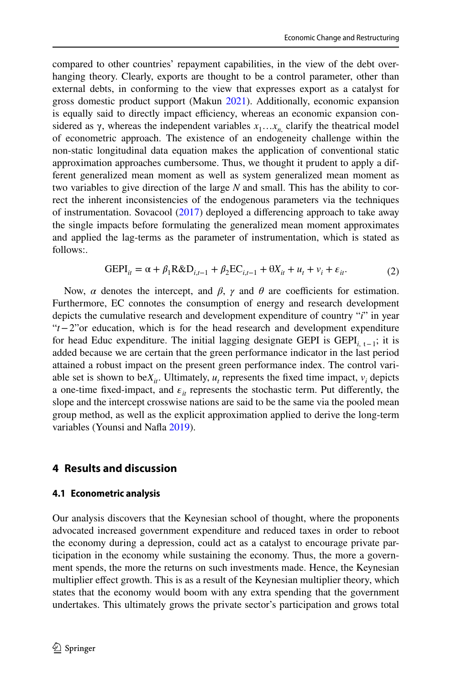compared to other countries' repayment capabilities, in the view of the debt overhanging theory. Clearly, exports are thought to be a control parameter, other than external debts, in conforming to the view that expresses export as a catalyst for gross domestic product support (Makun [2021\)](#page-18-17). Additionally, economic expansion is equally said to directly impact efficiency, whereas an economic expansion considered as  $\gamma$ , whereas the independent variables  $x_1 \dots x_n$ , clarify the theatrical model of econometric approach. The existence of an endogeneity challenge within the non-static longitudinal data equation makes the application of conventional static approximation approaches cumbersome. Thus, we thought it prudent to apply a different generalized mean moment as well as system generalized mean moment as two variables to give direction of the large *N* and small. This has the ability to correct the inherent inconsistencies of the endogenous parameters via the techniques of instrumentation. Sovacool [\(2017](#page-19-18)) deployed a diferencing approach to take away the single impacts before formulating the generalized mean moment approximates and applied the lag-terms as the parameter of instrumentation, which is stated as follows:.

$$
GEPI_{it} = \alpha + \beta_1 R\&D_{i,t-1} + \beta_2 EC_{i,t-1} + \theta X_{it} + u_t + v_i + \varepsilon_{it}.
$$
 (2)

Now, *α* denotes the intercept, and *β*, *γ* and *θ* are coefficients for estimation. Furthermore, EC connotes the consumption of energy and research development depicts the cumulative research and development expenditure of country "*i*" in year "*t*−2"or education, which is for the head research and development expenditure for head Educ expenditure. The initial lagging designate GEPI is GEPI*i*, t−1; it is added because we are certain that the green performance indicator in the last period attained a robust impact on the present green performance index. The control variable set is shown to be $X_{it}$ . Ultimately,  $u_t$  represents the fixed time impact,  $v_i$  depicts a one-time fixed-impact, and  $\varepsilon_{it}$  represents the stochastic term. Put differently, the slope and the intercept crosswise nations are said to be the same via the pooled mean group method, as well as the explicit approximation applied to derive the long-term variables (Younsi and Nafa [2019\)](#page-20-2).

### **4 Results and discussion**

#### **4.1 Econometric analysis**

Our analysis discovers that the Keynesian school of thought, where the proponents advocated increased government expenditure and reduced taxes in order to reboot the economy during a depression, could act as a catalyst to encourage private participation in the economy while sustaining the economy. Thus, the more a government spends, the more the returns on such investments made. Hence, the Keynesian multiplier efect growth. This is as a result of the Keynesian multiplier theory, which states that the economy would boom with any extra spending that the government undertakes. This ultimately grows the private sector's participation and grows total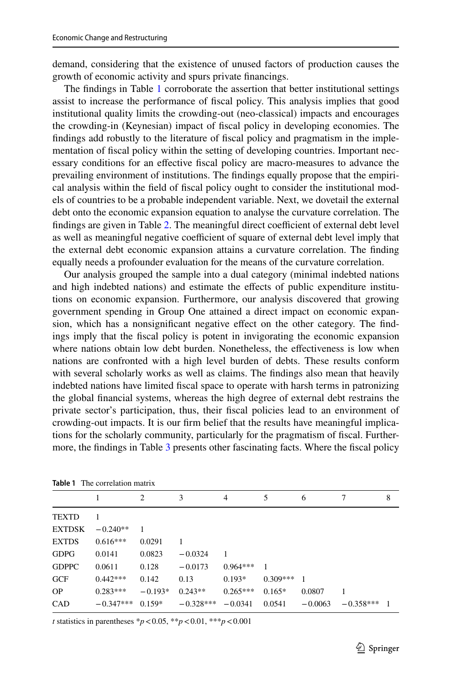demand, considering that the existence of unused factors of production causes the growth of economic activity and spurs private fnancings.

The fndings in Table [1](#page-8-0) corroborate the assertion that better institutional settings assist to increase the performance of fscal policy. This analysis implies that good institutional quality limits the crowding-out (neo-classical) impacts and encourages the crowding-in (Keynesian) impact of fscal policy in developing economies. The fndings add robustly to the literature of fscal policy and pragmatism in the implementation of fscal policy within the setting of developing countries. Important necessary conditions for an efective fscal policy are macro-measures to advance the prevailing environment of institutions. The fndings equally propose that the empirical analysis within the feld of fscal policy ought to consider the institutional models of countries to be a probable independent variable. Next, we dovetail the external debt onto the economic expansion equation to analyse the curvature correlation. The findings are given in Table [2.](#page-9-0) The meaningful direct coefficient of external debt level as well as meaningful negative coefficient of square of external debt level imply that the external debt economic expansion attains a curvature correlation. The fnding equally needs a profounder evaluation for the means of the curvature correlation.

Our analysis grouped the sample into a dual category (minimal indebted nations and high indebted nations) and estimate the effects of public expenditure institutions on economic expansion. Furthermore, our analysis discovered that growing government spending in Group One attained a direct impact on economic expansion, which has a nonsignifcant negative efect on the other category. The fndings imply that the fscal policy is potent in invigorating the economic expansion where nations obtain low debt burden. Nonetheless, the effectiveness is low when nations are confronted with a high level burden of debts. These results conform with several scholarly works as well as claims. The fndings also mean that heavily indebted nations have limited fscal space to operate with harsh terms in patronizing the global fnancial systems, whereas the high degree of external debt restrains the private sector's participation, thus, their fscal policies lead to an environment of crowding-out impacts. It is our frm belief that the results have meaningful implications for the scholarly community, particularly for the pragmatism of fscal. Furthermore, the fndings in Table [3](#page-10-0) presents other fascinating facts. Where the fscal policy

|               | <b>Table 1</b> The correlation matrix |                |                |            |                |           |             |                |
|---------------|---------------------------------------|----------------|----------------|------------|----------------|-----------|-------------|----------------|
|               |                                       | $\overline{c}$ | 3              | 4          | 5              | 6         |             | 8              |
| <b>TEXTD</b>  | $\overline{1}$                        |                |                |            |                |           |             |                |
| <b>EXTDSK</b> | $-0.240**$                            |                |                |            |                |           |             |                |
| <b>EXTDS</b>  | $0.616***$                            | 0.0291         | $\overline{1}$ |            |                |           |             |                |
| <b>GDPG</b>   | 0.0141                                | 0.0823         | $-0.0324$      | 1          |                |           |             |                |
| <b>GDPPC</b>  | 0.0611                                | 0.128          | $-0.0173$      | $0.964***$ | $\overline{1}$ |           |             |                |
| GCF           | $0.442***$                            | 0.142          | 0.13           | $0.193*$   | $0.309***$     | 1         |             |                |
| <b>OP</b>     | $0.283***$                            | $-0.193*$      | $0.243**$      | $0.265***$ | $0.165*$       | 0.0807    | -1          |                |
| CAD           | $-0.347***$                           | $0.159*$       | $-0.328***$    | $-0.0341$  | 0.0541         | $-0.0063$ | $-0.358***$ | $\overline{1}$ |
|               |                                       |                |                |            |                |           |             |                |

<span id="page-8-0"></span>**Table 1** The correlation matrix

*t* statistics in parentheses \**p*<0.05, \*\**p*<0.01, \*\*\**p*<0.001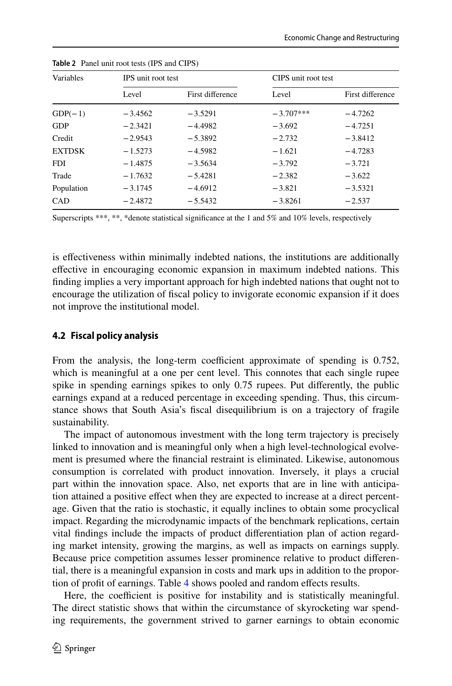| Variables     | <b>IPS</b> unit root test |                  | CIPS unit root test |                  |
|---------------|---------------------------|------------------|---------------------|------------------|
|               | Level                     | First difference | Level               | First difference |
| $GDP(-1)$     | $-3.4562$                 | $-3.5291$        | $-3.707***$         | $-4.7262$        |
| <b>GDP</b>    | $-2.3421$                 | $-4.4982$        | $-3.692$            | $-4.7251$        |
| Credit        | $-2.9543$                 | $-5.3892$        | $-2.732$            | $-3.8412$        |
| <b>EXTDSK</b> | $-1.5273$                 | $-4.5982$        | $-1.621$            | $-4.7283$        |
| <b>FDI</b>    | $-1.4875$                 | $-3.5634$        | $-3.792$            | $-3.721$         |
| Trade         | $-1.7632$                 | $-5.4281$        | $-2.382$            | $-3.622$         |
| Population    | $-3.1745$                 | $-4.6912$        | $-3.821$            | $-3.5321$        |
| CAD           | $-2.4872$                 | $-5.5432$        | $-3.8261$           | $-2.537$         |

<span id="page-9-0"></span>**Table 2** Panel unit root tests (IPS and CIPS)

Superscripts \*\*\*, \*\*, \*denote statistical significance at the 1 and 5% and 10% levels, respectively

is efectiveness within minimally indebted nations, the institutions are additionally efective in encouraging economic expansion in maximum indebted nations. This fnding implies a very important approach for high indebted nations that ought not to encourage the utilization of fscal policy to invigorate economic expansion if it does not improve the institutional model.

#### **4.2 Fiscal policy analysis**

From the analysis, the long-term coefficient approximate of spending is 0.752, which is meaningful at a one per cent level. This connotes that each single rupee spike in spending earnings spikes to only 0.75 rupees. Put diferently, the public earnings expand at a reduced percentage in exceeding spending. Thus, this circumstance shows that South Asia's fscal disequilibrium is on a trajectory of fragile sustainability.

The impact of autonomous investment with the long term trajectory is precisely linked to innovation and is meaningful only when a high level-technological evolvement is presumed where the fnancial restraint is eliminated. Likewise, autonomous consumption is correlated with product innovation. Inversely, it plays a crucial part within the innovation space. Also, net exports that are in line with anticipation attained a positive efect when they are expected to increase at a direct percentage. Given that the ratio is stochastic, it equally inclines to obtain some procyclical impact. Regarding the microdynamic impacts of the benchmark replications, certain vital fndings include the impacts of product diferentiation plan of action regarding market intensity, growing the margins, as well as impacts on earnings supply. Because price competition assumes lesser prominence relative to product diferential, there is a meaningful expansion in costs and mark ups in addition to the proportion of proft of earnings. Table [4](#page-12-0) shows pooled and random efects results.

Here, the coefficient is positive for instability and is statistically meaningful. The direct statistic shows that within the circumstance of skyrocketing war spending requirements, the government strived to garner earnings to obtain economic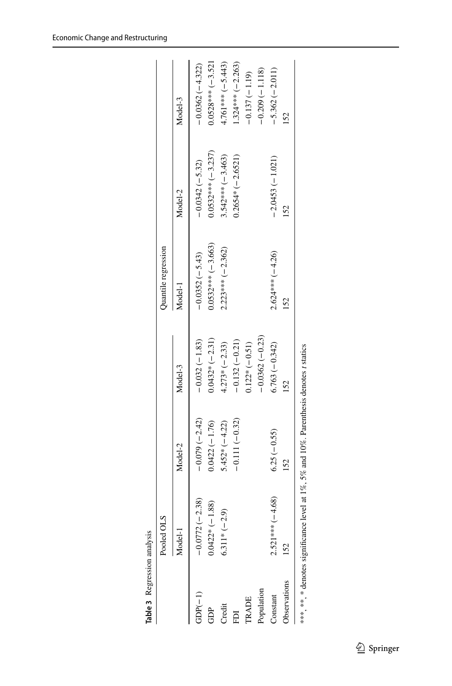<span id="page-10-0"></span>

|                     | Pooled OLS            |                                                                                        |                  | Quantile regression |                     |                     |
|---------------------|-----------------------|----------------------------------------------------------------------------------------|------------------|---------------------|---------------------|---------------------|
|                     | Model-1               | Model-2                                                                                | Model-3          | Model-1             | Model-2             | Model-3             |
| $GDP(-1)$           | $-0.0772(-2.38)$      | $-0.079(-2.42)$                                                                        | $-0.032(-1.83)$  | $-0.0352(-5.43)$    | $-0.0342(-5.32)$    | $-0.0362(-4.322)$   |
| GDP                 | $0.0422*(-1.88)$      | $0.0422(-1.76)$                                                                        | $0.0432*(-2.31)$ | $0.0532***(-3.663)$ | $0.0532***(-3.237)$ | $0.0528***(-3.521)$ |
| Credit              | $6.311*(-2.9)$        | $5.452*(-4.22)$                                                                        | $4.273*(-2.33)$  | $2.223***(-2.362)$  | $3.542***(-3.463)$  | $4.761***(-5.443)$  |
| EDI                 |                       | $-0.111(-0.32)$                                                                        | $-0.132(-0.21)$  |                     | $0.2654*(-2.6521)$  | $1.324***$ (-2.263) |
| TRADE               |                       |                                                                                        | $0.122*(-0.51)$  |                     |                     | $-0.137(-1.19)$     |
| Population          |                       |                                                                                        | $-0.0362(-0.23)$ |                     |                     | $-0.209(-1.118)$    |
| Constant            | $-4.68$<br>$2.521***$ | $6.25(-0.55)$                                                                          | $6.763(-0.342)$  | $2.624***(-4.26)$   | $-2.0453(-1.021)$   | $-5.362(-2.011)$    |
| <b>Observations</b> | 152                   | 152                                                                                    | 152              | 152                 | 152                 | 152                 |
|                     |                       | ***, **, * denotes significance level at 1%, 5% and 10%. Parenthesis denotes t statics |                  |                     |                     |                     |

Economic Change and Restructuring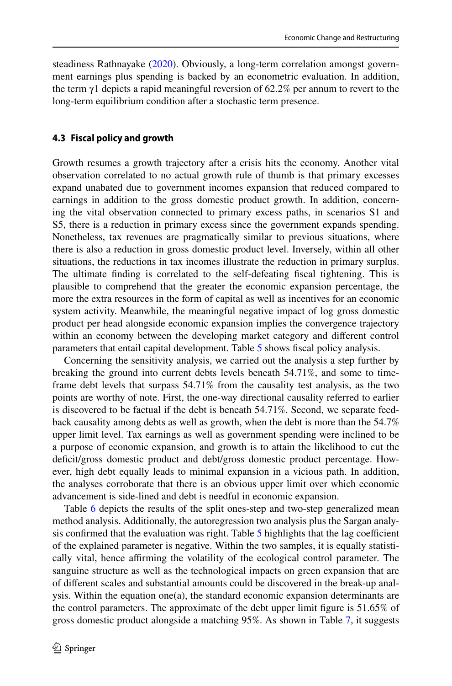steadiness Rathnayake ([2020\)](#page-19-19). Obviously, a long-term correlation amongst government earnings plus spending is backed by an econometric evaluation. In addition, the term  $\gamma$ 1 depicts a rapid meaningful reversion of 62.2% per annum to revert to the long-term equilibrium condition after a stochastic term presence.

#### **4.3 Fiscal policy and growth**

Growth resumes a growth trajectory after a crisis hits the economy. Another vital observation correlated to no actual growth rule of thumb is that primary excesses expand unabated due to government incomes expansion that reduced compared to earnings in addition to the gross domestic product growth. In addition, concerning the vital observation connected to primary excess paths, in scenarios S1 and S5, there is a reduction in primary excess since the government expands spending. Nonetheless, tax revenues are pragmatically similar to previous situations, where there is also a reduction in gross domestic product level. Inversely, within all other situations, the reductions in tax incomes illustrate the reduction in primary surplus. The ultimate fnding is correlated to the self-defeating fscal tightening. This is plausible to comprehend that the greater the economic expansion percentage, the more the extra resources in the form of capital as well as incentives for an economic system activity. Meanwhile, the meaningful negative impact of log gross domestic product per head alongside economic expansion implies the convergence trajectory within an economy between the developing market category and diferent control parameters that entail capital development. Table [5](#page-13-0) shows fscal policy analysis.

Concerning the sensitivity analysis, we carried out the analysis a step further by breaking the ground into current debts levels beneath 54.71%, and some to timeframe debt levels that surpass 54.71% from the causality test analysis, as the two points are worthy of note. First, the one-way directional causality referred to earlier is discovered to be factual if the debt is beneath 54.71%. Second, we separate feedback causality among debts as well as growth, when the debt is more than the 54.7% upper limit level. Tax earnings as well as government spending were inclined to be a purpose of economic expansion, and growth is to attain the likelihood to cut the deficit/gross domestic product and debt/gross domestic product percentage. However, high debt equally leads to minimal expansion in a vicious path. In addition, the analyses corroborate that there is an obvious upper limit over which economic advancement is side-lined and debt is needful in economic expansion.

Table [6](#page-13-1) depicts the results of the split ones-step and two-step generalized mean method analysis. Additionally, the autoregression two analysis plus the Sargan analysis confirmed that the evaluation was right. Table  $5$  highlights that the lag coefficient of the explained parameter is negative. Within the two samples, it is equally statistically vital, hence afrming the volatility of the ecological control parameter. The sanguine structure as well as the technological impacts on green expansion that are of diferent scales and substantial amounts could be discovered in the break-up analysis. Within the equation one(a), the standard economic expansion determinants are the control parameters. The approximate of the debt upper limit fgure is 51.65% of gross domestic product alongside a matching 95%. As shown in Table [7](#page-13-2), it suggests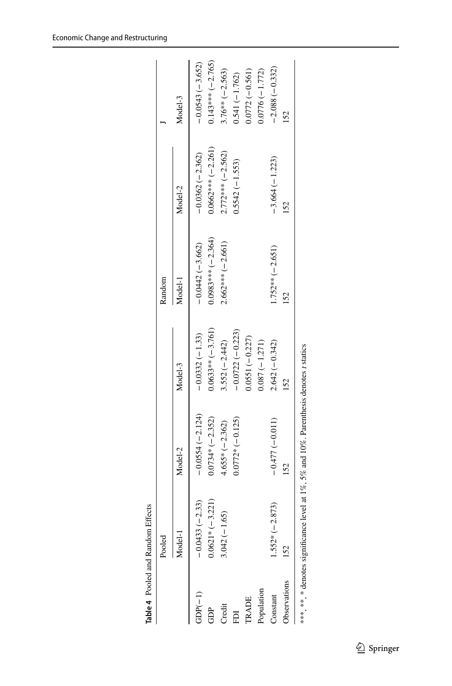<span id="page-12-0"></span>

|                     | Pooled             |                   |                     | Random              |                     |                     |
|---------------------|--------------------|-------------------|---------------------|---------------------|---------------------|---------------------|
|                     | Model-1            | Model-2           | Model-3             | Model-1             | Model-2             | Model-3             |
| $GDP(-1)$           | $-0.0433(-2.33)$   | $-0.0554(-2.124)$ | $-0.0332(-1.33)$    | $-0.0442(-3.662)$   | $-0.0362(-2.362)$   | $-0.0543(-3.652)$   |
| GDP                 | $0.0621*(-3.221)$  | $0.0734*(-2.352)$ | $0.0633** (-3.761)$ | $0.0983***(-2.364)$ | $0.0662***(-2.261)$ | $0.143***$ (-2.765) |
| Credit              | 5)<br>$3.042(-1.6$ | $4.655*(-2.362)$  | $3.552(-2.442)$     | $2.662***(-2.661)$  | $2.772***(-2.562)$  | $3.76**(-2.563)$    |
| EDI                 |                    | $0.0772*(-0.125)$ | $-0.0722(-0.223)$   |                     | $0.5542(-1.553)$    | $0.541(-1.762)$     |
| <b>TRADE</b>        |                    |                   | $0.0551(-0.227)$    |                     |                     | $0.0772(-0.561)$    |
| Population          |                    |                   | $0.087(-1.271)$     |                     |                     | $0.0776(-1.772)$    |
| Constant            | $1.552*(-2.873)$   | $-0.477(-0.011)$  | $2.642(-0.342)$     | $1.752***(-2.651)$  | $-3.664(-1.223)$    | $-2.088(-0.332)$    |
| <b>Jbservations</b> | 152                | 152               | 152                 | 152                 | 152                 | 152                 |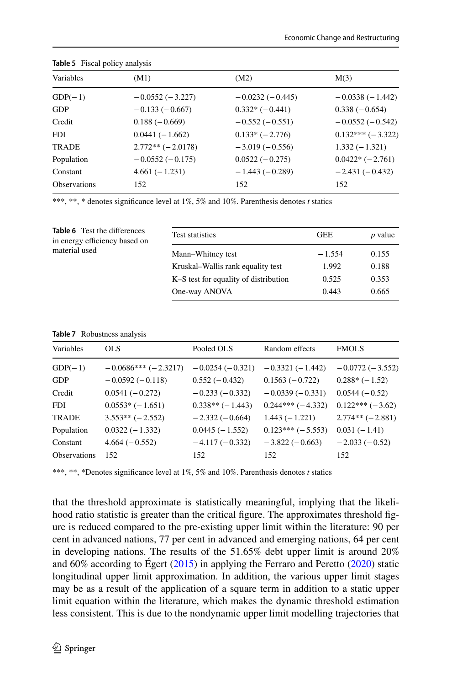| Variables           | (M1)               | (M2)              | M(3)               |
|---------------------|--------------------|-------------------|--------------------|
| $GDP(-1)$           | $-0.0552(-3.227)$  | $-0.0232(-0.445)$ | $-0.0338(-1.442)$  |
| <b>GDP</b>          | $-0.133(-0.667)$   | $0.332*(-0.441)$  | $0.338(-0.654)$    |
| Credit              | $0.188(-0.669)$    | $-0.552(-0.551)$  | $-0.0552(-0.542)$  |
| <b>FDI</b>          | $0.0441(-1.662)$   | $0.133*(-2.776)$  | $0.132***(-3.322)$ |
| <b>TRADE</b>        | $2.772**(-2.0178)$ | $-3.019(-0.556)$  | $1.332(-1.321)$    |
| Population          | $-0.0552(-0.175)$  | $0.0522(-0.275)$  | $0.0422*(-2.761)$  |
| Constant            | $4.661(-1.231)$    | $-1.443(-0.289)$  | $-2.431(-0.432)$   |
| <b>Observations</b> | 152                | 152               | 152                |

<span id="page-13-0"></span>**Table 5** Fiscal policy analysis

\*\*\*, \*\*, \* denotes significance level at 1%, 5% and 10%. Parenthesis denotes *t* statics

<span id="page-13-1"></span>

| <b>Table 6</b> Test the differences<br>in energy efficiency based on | Test statistics                       | <b>GEE</b> | <i>p</i> value |
|----------------------------------------------------------------------|---------------------------------------|------------|----------------|
| material used                                                        | Mann-Whitney test                     | $-1.554$   | 0.155          |
|                                                                      | Kruskal–Wallis rank equality test     | 1.992      | 0.188          |
|                                                                      | K–S test for equality of distribution | 0.525      | 0.353          |
|                                                                      | One-way ANOVA                         | 0.443      | 0.665          |

#### <span id="page-13-2"></span>**Table 7** Robustness analysis

| Variables           | OLS.                  | Pooled OLS        | Random effects     | <b>FMOLS</b>      |
|---------------------|-----------------------|-------------------|--------------------|-------------------|
| $GDP(-1)$           | $-0.0686***(-2.3217)$ | $-0.0254(-0.321)$ | $-0.3321(-1.442)$  | $-0.0772(-3.552)$ |
| <b>GDP</b>          | $-0.0592(-0.118)$     | $0.552(-0.432)$   | $0.1563(-0.722)$   | $0.288*(-1.52)$   |
| Credit              | $0.0541(-0.272)$      | $-0.233(-0.332)$  | $-0.0339(-0.331)$  | $0.0544(-0.52)$   |
| <b>FDI</b>          | $0.0553*(-1.651)$     | $0.338**(-1.443)$ | $0.244***(-4.332)$ | $0.122***(-3.62)$ |
| <b>TRADE</b>        | $3.553**(-2.552)$     | $-2.332(-0.664)$  | $1.443(-1.221)$    | $2.774**(-2.881)$ |
| Population          | $0.0322(-1.332)$      | $0.0445(-1.552)$  | $0.123***(-5.553)$ | $0.031(-1.41)$    |
| Constant            | $4.664(-0.552)$       | $-4.117(-0.332)$  | $-3.822(-0.663)$   | $-2.033(-0.52)$   |
| <b>Observations</b> | 152                   | 152               | 152                | 152               |

\*\*\*, \*\*, \*Denotes signifcance level at 1%, 5% and 10%. Parenthesis denotes *t* statics

that the threshold approximate is statistically meaningful, implying that the likelihood ratio statistic is greater than the critical fgure. The approximates threshold fgure is reduced compared to the pre-existing upper limit within the literature: 90 per cent in advanced nations, 77 per cent in advanced and emerging nations, 64 per cent in developing nations. The results of the 51.65% debt upper limit is around 20% and  $60\%$  according to Égert ([2015\)](#page-18-18) in applying the Ferraro and Peretto [\(2020](#page-18-19)) static longitudinal upper limit approximation. In addition, the various upper limit stages may be as a result of the application of a square term in addition to a static upper limit equation within the literature, which makes the dynamic threshold estimation less consistent. This is due to the nondynamic upper limit modelling trajectories that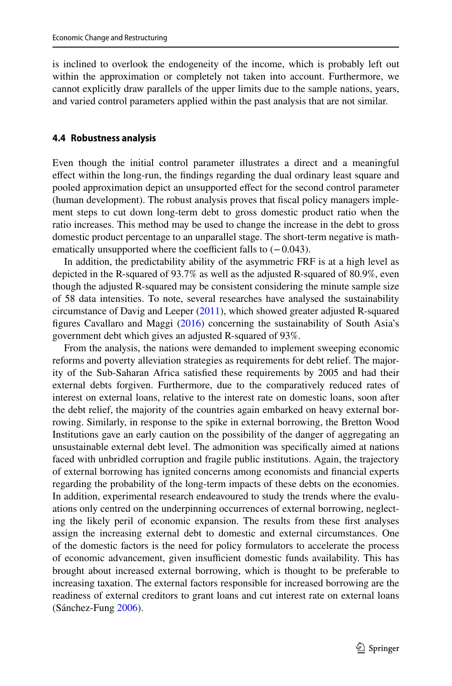is inclined to overlook the endogeneity of the income, which is probably left out within the approximation or completely not taken into account. Furthermore, we cannot explicitly draw parallels of the upper limits due to the sample nations, years, and varied control parameters applied within the past analysis that are not similar.

#### **4.4 Robustness analysis**

Even though the initial control parameter illustrates a direct and a meaningful efect within the long-run, the fndings regarding the dual ordinary least square and pooled approximation depict an unsupported efect for the second control parameter (human development). The robust analysis proves that fscal policy managers implement steps to cut down long-term debt to gross domestic product ratio when the ratio increases. This method may be used to change the increase in the debt to gross domestic product percentage to an unparallel stage. The short-term negative is mathematically unsupported where the coefficient falls to  $(-0.043)$ .

In addition, the predictability ability of the asymmetric FRF is at a high level as depicted in the R-squared of 93.7% as well as the adjusted R-squared of 80.9%, even though the adjusted R-squared may be consistent considering the minute sample size of 58 data intensities. To note, several researches have analysed the sustainability circumstance of Davig and Leeper [\(2011](#page-18-20)), which showed greater adjusted R-squared fgures Cavallaro and Maggi ([2016\)](#page-17-7) concerning the sustainability of South Asia's government debt which gives an adjusted R-squared of 93%.

From the analysis, the nations were demanded to implement sweeping economic reforms and poverty alleviation strategies as requirements for debt relief. The majority of the Sub-Saharan Africa satisfed these requirements by 2005 and had their external debts forgiven. Furthermore, due to the comparatively reduced rates of interest on external loans, relative to the interest rate on domestic loans, soon after the debt relief, the majority of the countries again embarked on heavy external borrowing. Similarly, in response to the spike in external borrowing, the Bretton Wood Institutions gave an early caution on the possibility of the danger of aggregating an unsustainable external debt level. The admonition was specifcally aimed at nations faced with unbridled corruption and fragile public institutions. Again, the trajectory of external borrowing has ignited concerns among economists and fnancial experts regarding the probability of the long-term impacts of these debts on the economies. In addition, experimental research endeavoured to study the trends where the evaluations only centred on the underpinning occurrences of external borrowing, neglecting the likely peril of economic expansion. The results from these frst analyses assign the increasing external debt to domestic and external circumstances. One of the domestic factors is the need for policy formulators to accelerate the process of economic advancement, given insufficient domestic funds availability. This has brought about increased external borrowing, which is thought to be preferable to increasing taxation. The external factors responsible for increased borrowing are the readiness of external creditors to grant loans and cut interest rate on external loans (Sánchez-Fung [2006\)](#page-19-20).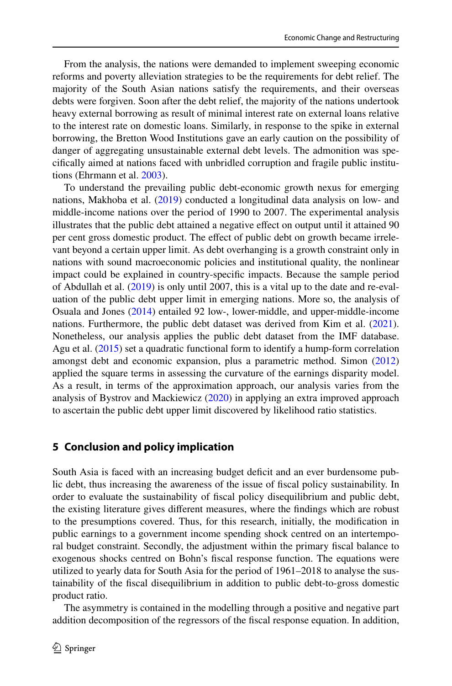From the analysis, the nations were demanded to implement sweeping economic reforms and poverty alleviation strategies to be the requirements for debt relief. The majority of the South Asian nations satisfy the requirements, and their overseas debts were forgiven. Soon after the debt relief, the majority of the nations undertook heavy external borrowing as result of minimal interest rate on external loans relative to the interest rate on domestic loans. Similarly, in response to the spike in external borrowing, the Bretton Wood Institutions gave an early caution on the possibility of danger of aggregating unsustainable external debt levels. The admonition was specifcally aimed at nations faced with unbridled corruption and fragile public institutions (Ehrmann et al. [2003\)](#page-18-21).

To understand the prevailing public debt-economic growth nexus for emerging nations, Makhoba et al. ([2019\)](#page-18-22) conducted a longitudinal data analysis on low- and middle-income nations over the period of 1990 to 2007. The experimental analysis illustrates that the public debt attained a negative efect on output until it attained 90 per cent gross domestic product. The efect of public debt on growth became irrelevant beyond a certain upper limit. As debt overhanging is a growth constraint only in nations with sound macroeconomic policies and institutional quality, the nonlinear impact could be explained in country-specifc impacts. Because the sample period of Abdullah et al. [\(2019](#page-17-0)) is only until 2007, this is a vital up to the date and re-evaluation of the public debt upper limit in emerging nations. More so, the analysis of Osuala and Jones ([2014\)](#page-19-21) entailed 92 low-, lower-middle, and upper-middle-income nations. Furthermore, the public debt dataset was derived from Kim et al. ([2021\)](#page-18-23). Nonetheless, our analysis applies the public debt dataset from the IMF database. Agu et al. ([2015\)](#page-17-8) set a quadratic functional form to identify a hump-form correlation amongst debt and economic expansion, plus a parametric method. Simon [\(2012](#page-19-22)) applied the square terms in assessing the curvature of the earnings disparity model. As a result, in terms of the approximation approach, our analysis varies from the analysis of Bystrov and Mackiewicz [\(2020](#page-17-9)) in applying an extra improved approach to ascertain the public debt upper limit discovered by likelihood ratio statistics.

### **5 Conclusion and policy implication**

South Asia is faced with an increasing budget defcit and an ever burdensome public debt, thus increasing the awareness of the issue of fscal policy sustainability. In order to evaluate the sustainability of fscal policy disequilibrium and public debt, the existing literature gives diferent measures, where the fndings which are robust to the presumptions covered. Thus, for this research, initially, the modifcation in public earnings to a government income spending shock centred on an intertemporal budget constraint. Secondly, the adjustment within the primary fscal balance to exogenous shocks centred on Bohn's fscal response function. The equations were utilized to yearly data for South Asia for the period of 1961–2018 to analyse the sustainability of the fscal disequilibrium in addition to public debt-to-gross domestic product ratio.

The asymmetry is contained in the modelling through a positive and negative part addition decomposition of the regressors of the fscal response equation. In addition,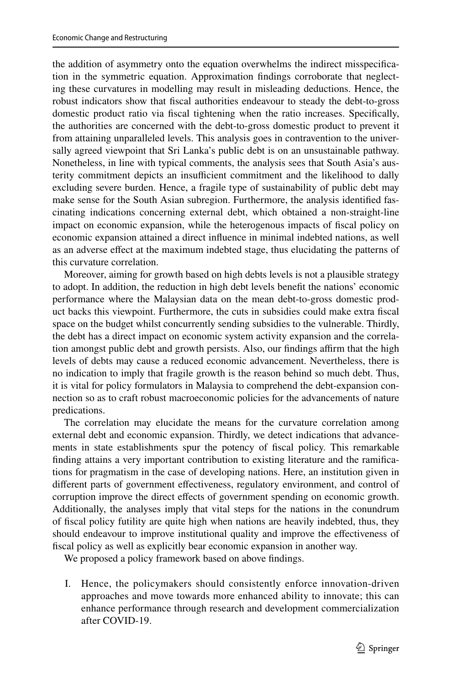the addition of asymmetry onto the equation overwhelms the indirect misspecifcation in the symmetric equation. Approximation fndings corroborate that neglecting these curvatures in modelling may result in misleading deductions. Hence, the robust indicators show that fscal authorities endeavour to steady the debt-to-gross domestic product ratio via fscal tightening when the ratio increases. Specifcally, the authorities are concerned with the debt-to-gross domestic product to prevent it from attaining unparalleled levels. This analysis goes in contravention to the universally agreed viewpoint that Sri Lanka's public debt is on an unsustainable pathway. Nonetheless, in line with typical comments, the analysis sees that South Asia's austerity commitment depicts an insufficient commitment and the likelihood to dally excluding severe burden. Hence, a fragile type of sustainability of public debt may make sense for the South Asian subregion. Furthermore, the analysis identifed fascinating indications concerning external debt, which obtained a non-straight-line impact on economic expansion, while the heterogenous impacts of fscal policy on economic expansion attained a direct infuence in minimal indebted nations, as well as an adverse efect at the maximum indebted stage, thus elucidating the patterns of this curvature correlation.

Moreover, aiming for growth based on high debts levels is not a plausible strategy to adopt. In addition, the reduction in high debt levels beneft the nations' economic performance where the Malaysian data on the mean debt-to-gross domestic product backs this viewpoint. Furthermore, the cuts in subsidies could make extra fscal space on the budget whilst concurrently sending subsidies to the vulnerable. Thirdly, the debt has a direct impact on economic system activity expansion and the correlation amongst public debt and growth persists. Also, our findings affirm that the high levels of debts may cause a reduced economic advancement. Nevertheless, there is no indication to imply that fragile growth is the reason behind so much debt. Thus, it is vital for policy formulators in Malaysia to comprehend the debt-expansion connection so as to craft robust macroeconomic policies for the advancements of nature predications.

The correlation may elucidate the means for the curvature correlation among external debt and economic expansion. Thirdly, we detect indications that advancements in state establishments spur the potency of fscal policy. This remarkable fnding attains a very important contribution to existing literature and the ramifcations for pragmatism in the case of developing nations. Here, an institution given in diferent parts of government efectiveness, regulatory environment, and control of corruption improve the direct effects of government spending on economic growth. Additionally, the analyses imply that vital steps for the nations in the conundrum of fscal policy futility are quite high when nations are heavily indebted, thus, they should endeavour to improve institutional quality and improve the efectiveness of fscal policy as well as explicitly bear economic expansion in another way.

We proposed a policy framework based on above fndings.

I. Hence, the policymakers should consistently enforce innovation-driven approaches and move towards more enhanced ability to innovate; this can enhance performance through research and development commercialization after COVID-19.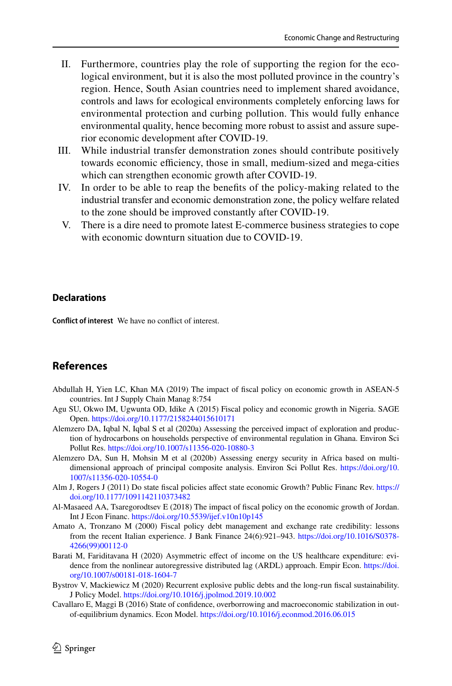- II. Furthermore, countries play the role of supporting the region for the ecological environment, but it is also the most polluted province in the country's region. Hence, South Asian countries need to implement shared avoidance, controls and laws for ecological environments completely enforcing laws for environmental protection and curbing pollution. This would fully enhance environmental quality, hence becoming more robust to assist and assure superior economic development after COVID-19.
- III. While industrial transfer demonstration zones should contribute positively towards economic efficiency, those in small, medium-sized and mega-cities which can strengthen economic growth after COVID-19.
- IV. In order to be able to reap the benefts of the policy-making related to the industrial transfer and economic demonstration zone, the policy welfare related to the zone should be improved constantly after COVID-19.
- V. There is a dire need to promote latest E-commerce business strategies to cope with economic downturn situation due to COVID-19.

#### **Declarations**

**Confict of interest** We have no confict of interest.

# **References**

- <span id="page-17-0"></span>Abdullah H, Yien LC, Khan MA (2019) The impact of fscal policy on economic growth in ASEAN-5 countries. Int J Supply Chain Manag 8:754
- <span id="page-17-8"></span>Agu SU, Okwo IM, Ugwunta OD, Idike A (2015) Fiscal policy and economic growth in Nigeria. SAGE Open.<https://doi.org/10.1177/2158244015610171>
- <span id="page-17-4"></span>Alemzero DA, Iqbal N, Iqbal S et al (2020a) Assessing the perceived impact of exploration and production of hydrocarbons on households perspective of environmental regulation in Ghana. Environ Sci Pollut Res. <https://doi.org/10.1007/s11356-020-10880-3>
- <span id="page-17-5"></span>Alemzero DA, Sun H, Mohsin M et al (2020b) Assessing energy security in Africa based on multidimensional approach of principal composite analysis. Environ Sci Pollut Res. [https://doi.org/10.](https://doi.org/10.1007/s11356-020-10554-0) [1007/s11356-020-10554-0](https://doi.org/10.1007/s11356-020-10554-0)
- <span id="page-17-3"></span>Alm J, Rogers J (2011) Do state fscal policies afect state economic Growth? Public Financ Rev. [https://](https://doi.org/10.1177/1091142110373482) [doi.org/10.1177/1091142110373482](https://doi.org/10.1177/1091142110373482)
- <span id="page-17-1"></span>Al-Masaeed AA, Tsaregorodtsev E (2018) The impact of fscal policy on the economic growth of Jordan. Int J Econ Financ.<https://doi.org/10.5539/ijef.v10n10p145>
- <span id="page-17-2"></span>Amato A, Tronzano M (2000) Fiscal policy debt management and exchange rate credibility: lessons from the recent Italian experience. J Bank Finance 24(6):921–943. [https://doi.org/10.1016/S0378-](https://doi.org/10.1016/S0378-4266(99)00112-0) [4266\(99\)00112-0](https://doi.org/10.1016/S0378-4266(99)00112-0)
- <span id="page-17-6"></span>Barati M, Fariditavana H (2020) Asymmetric effect of income on the US healthcare expenditure: evidence from the nonlinear autoregressive distributed lag (ARDL) approach. Empir Econ. [https://doi.](https://doi.org/10.1007/s00181-018-1604-7) [org/10.1007/s00181-018-1604-7](https://doi.org/10.1007/s00181-018-1604-7)
- <span id="page-17-9"></span>Bystrov V, Mackiewicz M (2020) Recurrent explosive public debts and the long-run fscal sustainability. J Policy Model.<https://doi.org/10.1016/j.jpolmod.2019.10.002>
- <span id="page-17-7"></span>Cavallaro E, Maggi B (2016) State of confdence, overborrowing and macroeconomic stabilization in outof-equilibrium dynamics. Econ Model. <https://doi.org/10.1016/j.econmod.2016.06.015>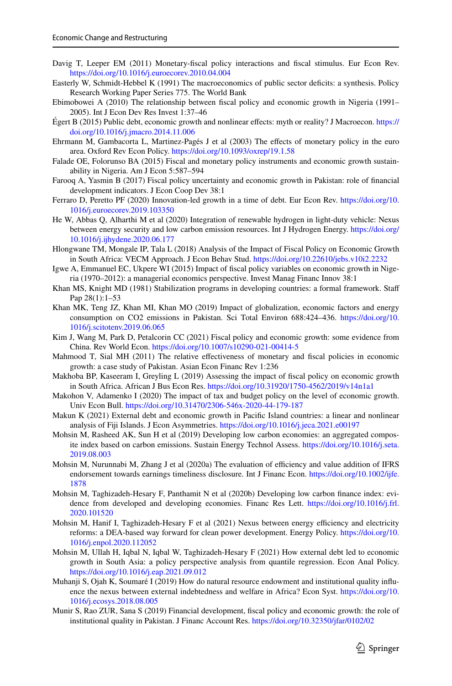- <span id="page-18-20"></span>Davig T, Leeper EM (2011) Monetary-fscal policy interactions and fscal stimulus. Eur Econ Rev. <https://doi.org/10.1016/j.euroecorev.2010.04.004>
- <span id="page-18-14"></span>Easterly W, Schmidt-Hebbel K (1991) The macroeconomics of public sector defcits: a synthesis. Policy Research Working Paper Series 775. The World Bank
- <span id="page-18-12"></span>Ebimobowei A (2010) The relationship between fscal policy and economic growth in Nigeria (1991– 2005). Int J Econ Dev Res Invest 1:37–46
- <span id="page-18-18"></span>Égert B (2015) Public debt, economic growth and nonlinear efects: myth or reality? J Macroecon. [https://](https://doi.org/10.1016/j.jmacro.2014.11.006) [doi.org/10.1016/j.jmacro.2014.11.006](https://doi.org/10.1016/j.jmacro.2014.11.006)
- <span id="page-18-21"></span>Ehrmann M, Gambacorta L, Martinez-Pagés J et al (2003) The effects of monetary policy in the euro area. Oxford Rev Econ Policy. <https://doi.org/10.1093/oxrep/19.1.58>
- <span id="page-18-7"></span>Falade OE, Folorunso BA (2015) Fiscal and monetary policy instruments and economic growth sustainability in Nigeria. Am J Econ 5:587–594
- <span id="page-18-5"></span>Farooq A, Yasmin B (2017) Fiscal policy uncertainty and economic growth in Pakistan: role of fnancial development indicators. J Econ Coop Dev 38:1
- <span id="page-18-19"></span>Ferraro D, Peretto PF (2020) Innovation-led growth in a time of debt. Eur Econ Rev. [https://doi.org/10.](https://doi.org/10.1016/j.euroecorev.2019.103350) [1016/j.euroecorev.2019.103350](https://doi.org/10.1016/j.euroecorev.2019.103350)
- <span id="page-18-8"></span>He W, Abbas Q, Alharthi M et al (2020) Integration of renewable hydrogen in light-duty vehicle: Nexus between energy security and low carbon emission resources. Int J Hydrogen Energy. [https://doi.org/](https://doi.org/10.1016/j.ijhydene.2020.06.177) [10.1016/j.ijhydene.2020.06.177](https://doi.org/10.1016/j.ijhydene.2020.06.177)
- <span id="page-18-10"></span>Hlongwane TM, Mongale IP, Tala L (2018) Analysis of the Impact of Fiscal Policy on Economic Growth in South Africa: VECM Approach. J Econ Behav Stud.<https://doi.org/10.22610/jebs.v10i2.2232>
- <span id="page-18-6"></span>Igwe A, Emmanuel EC, Ukpere WI (2015) Impact of fscal policy variables on economic growth in Nigeria (1970–2012): a managerial economics perspective. Invest Manag Financ Innov 38:1
- <span id="page-18-13"></span>Khan MS, Knight MD (1981) Stabilization programs in developing countries: a formal framework. Staf Pap 28(1):1–53
- <span id="page-18-16"></span>Khan MK, Teng JZ, Khan MI, Khan MO (2019) Impact of globalization, economic factors and energy consumption on CO2 emissions in Pakistan. Sci Total Environ 688:424–436. [https://doi.org/10.](https://doi.org/10.1016/j.scitotenv.2019.06.065) [1016/j.scitotenv.2019.06.065](https://doi.org/10.1016/j.scitotenv.2019.06.065)
- <span id="page-18-23"></span>Kim J, Wang M, Park D, Petalcorin CC (2021) Fiscal policy and economic growth: some evidence from China. Rev World Econ.<https://doi.org/10.1007/s10290-021-00414-5>
- <span id="page-18-1"></span>Mahmood T, Sial MH (2011) The relative efectiveness of monetary and fscal policies in economic growth: a case study of Pakistan. Asian Econ Financ Rev 1:236
- <span id="page-18-22"></span>Makhoba BP, Kaseeram I, Greyling L (2019) Assessing the impact of fscal policy on economic growth in South Africa. African J Bus Econ Res. <https://doi.org/10.31920/1750-4562/2019/v14n1a1>
- <span id="page-18-11"></span>Makohon V, Adamenko I (2020) The impact of tax and budget policy on the level of economic growth. Univ Econ Bull.<https://doi.org/10.31470/2306-546x-2020-44-179-187>
- <span id="page-18-17"></span>Makun K (2021) External debt and economic growth in Pacifc Island countries: a linear and nonlinear analysis of Fiji Islands. J Econ Asymmetries. <https://doi.org/10.1016/j.jeca.2021.e00197>
- <span id="page-18-2"></span>Mohsin M, Rasheed AK, Sun H et al (2019) Developing low carbon economies: an aggregated composite index based on carbon emissions. Sustain Energy Technol Assess. [https://doi.org/10.1016/j.seta.](https://doi.org/10.1016/j.seta.2019.08.003) [2019.08.003](https://doi.org/10.1016/j.seta.2019.08.003)
- <span id="page-18-3"></span>Mohsin M, Nurunnabi M, Zhang J et al (2020a) The evaluation of efficiency and value addition of IFRS endorsement towards earnings timeliness disclosure. Int J Financ Econ. [https://doi.org/10.1002/ijfe.](https://doi.org/10.1002/ijfe.1878) [1878](https://doi.org/10.1002/ijfe.1878)
- <span id="page-18-9"></span>Mohsin M, Taghizadeh-Hesary F, Panthamit N et al (2020b) Developing low carbon fnance index: evidence from developed and developing economies. Financ Res Lett. [https://doi.org/10.1016/j.frl.](https://doi.org/10.1016/j.frl.2020.101520) [2020.101520](https://doi.org/10.1016/j.frl.2020.101520)
- <span id="page-18-4"></span>Mohsin M, Hanif I, Taghizadeh-Hesary F et al (2021) Nexus between energy efficiency and electricity reforms: a DEA-based way forward for clean power development. Energy Policy. [https://doi.org/10.](https://doi.org/10.1016/j.enpol.2020.112052) [1016/j.enpol.2020.112052](https://doi.org/10.1016/j.enpol.2020.112052)
- Mohsin M, Ullah H, Iqbal N, Iqbal W, Taghizadeh-Hesary F (2021) How external debt led to economic growth in South Asia: a policy perspective analysis from quantile regression. Econ Anal Policy. <https://doi.org/10.1016/j.eap.2021.09.012>
- <span id="page-18-15"></span>Muhanji S, Ojah K, Soumaré I (2019) How do natural resource endowment and institutional quality infuence the nexus between external indebtedness and welfare in Africa? Econ Syst. [https://doi.org/10.](https://doi.org/10.1016/j.ecosys.2018.08.005) [1016/j.ecosys.2018.08.005](https://doi.org/10.1016/j.ecosys.2018.08.005)
- <span id="page-18-0"></span>Munir S, Rao ZUR, Sana S (2019) Financial development, fscal policy and economic growth: the role of institutional quality in Pakistan. J Financ Account Res.<https://doi.org/10.32350/jfar/0102/02>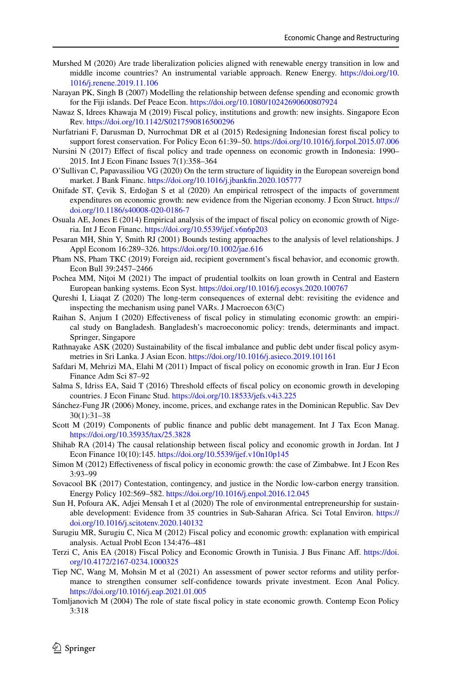- <span id="page-19-15"></span>Murshed M (2020) Are trade liberalization policies aligned with renewable energy transition in low and middle income countries? An instrumental variable approach. Renew Energy. [https://doi.org/10.](https://doi.org/10.1016/j.renene.2019.11.106) [1016/j.renene.2019.11.106](https://doi.org/10.1016/j.renene.2019.11.106)
- Narayan PK, Singh B (2007) Modelling the relationship between defense spending and economic growth for the Fiji islands. Def Peace Econ. <https://doi.org/10.1080/10242690600807924>
- <span id="page-19-4"></span>Nawaz S, Idrees Khawaja M (2019) Fiscal policy, institutions and growth: new insights. Singapore Econ Rev.<https://doi.org/10.1142/S0217590816500296>
- <span id="page-19-6"></span>Nurfatriani F, Darusman D, Nurrochmat DR et al (2015) Redesigning Indonesian forest fscal policy to support forest conservation. For Policy Econ 61:39–50.<https://doi.org/10.1016/j.forpol.2015.07.006>
- <span id="page-19-5"></span>Nursini N (2017) Efect of fscal policy and trade openness on economic growth in Indonesia: 1990– 2015. Int J Econ Financ Issues 7(1):358–364
- O'Sullivan C, Papavassiliou VG (2020) On the term structure of liquidity in the European sovereign bond market. J Bank Financ. [https://doi.org/10.1016/j.jbankfn.2020.105777](https://doi.org/10.1016/j.jbankfin.2020.105777)
- <span id="page-19-14"></span>Onifade ST, Çevik S, Erdoğan S et al (2020) An empirical retrospect of the impacts of government expenditures on economic growth: new evidence from the Nigerian economy. J Econ Struct. [https://](https://doi.org/10.1186/s40008-020-0186-7) [doi.org/10.1186/s40008-020-0186-7](https://doi.org/10.1186/s40008-020-0186-7)
- <span id="page-19-21"></span>Osuala AE, Jones E (2014) Empirical analysis of the impact of fscal policy on economic growth of Nigeria. Int J Econ Financ. <https://doi.org/10.5539/ijef.v6n6p203>
- <span id="page-19-16"></span>Pesaran MH, Shin Y, Smith RJ (2001) Bounds testing approaches to the analysis of level relationships. J Appl Econom 16:289–326. <https://doi.org/10.1002/jae.616>
- <span id="page-19-7"></span>Pham NS, Pham TKC (2019) Foreign aid, recipient government's fscal behavior, and economic growth. Econ Bull 39:2457–2466
- Pochea MM, Nitoi M (2021) The impact of prudential toolkits on loan growth in Central and Eastern European banking systems. Econ Syst. <https://doi.org/10.1016/j.ecosys.2020.100767>
- <span id="page-19-17"></span>Qureshi I, Liaqat Z (2020) The long-term consequences of external debt: revisiting the evidence and inspecting the mechanism using panel VARs. J Macroecon 63(C)
- <span id="page-19-12"></span>Raihan S, Anjum I (2020) Efectiveness of fscal policy in stimulating economic growth: an empirical study on Bangladesh. Bangladesh's macroeconomic policy: trends, determinants and impact. Springer, Singapore
- <span id="page-19-19"></span>Rathnayake ASK (2020) Sustainability of the fscal imbalance and public debt under fscal policy asymmetries in Sri Lanka. J Asian Econ.<https://doi.org/10.1016/j.asieco.2019.101161>
- <span id="page-19-10"></span>Safdari M, Mehrizi MA, Elahi M (2011) Impact of fscal policy on economic growth in Iran. Eur J Econ Finance Adm Sci 87–92
- <span id="page-19-1"></span>Salma S, Idriss EA, Said T (2016) Threshold efects of fscal policy on economic growth in developing countries. J Econ Financ Stud.<https://doi.org/10.18533/jefs.v4i3.225>
- <span id="page-19-20"></span>Sánchez-Fung JR (2006) Money, income, prices, and exchange rates in the Dominican Republic. Sav Dev 30(1):31–38
- <span id="page-19-11"></span>Scott M (2019) Components of public fnance and public debt management. Int J Tax Econ Manag. <https://doi.org/10.35935/tax/25.3828>
- <span id="page-19-2"></span>Shihab RA (2014) The causal relationship between fscal policy and economic growth in Jordan. Int J Econ Finance 10(10):145.<https://doi.org/10.5539/ijef.v10n10p145>
- <span id="page-19-22"></span>Simon M (2012) Efectiveness of fscal policy in economic growth: the case of Zimbabwe. Int J Econ Res 3:93–99
- <span id="page-19-18"></span>Sovacool BK (2017) Contestation, contingency, and justice in the Nordic low-carbon energy transition. Energy Policy 102:569–582. <https://doi.org/10.1016/j.enpol.2016.12.045>
- <span id="page-19-9"></span>Sun H, Pofoura AK, Adjei Mensah I et al (2020) The role of environmental entrepreneurship for sustainable development: Evidence from 35 countries in Sub-Saharan Africa. Sci Total Environ. [https://](https://doi.org/10.1016/j.scitotenv.2020.140132) [doi.org/10.1016/j.scitotenv.2020.140132](https://doi.org/10.1016/j.scitotenv.2020.140132)
- <span id="page-19-3"></span>Surugiu MR, Surugiu C, Nica M (2012) Fiscal policy and economic growth: explanation with empirical analysis. Actual Probl Econ 134:476–481
- <span id="page-19-0"></span>Terzi C, Anis EA (2018) Fiscal Policy and Economic Growth in Tunisia. J Bus Financ Af. [https://doi.](https://doi.org/10.4172/2167-0234.1000325) [org/10.4172/2167-0234.1000325](https://doi.org/10.4172/2167-0234.1000325)
- <span id="page-19-8"></span>Tiep NC, Wang M, Mohsin M et al (2021) An assessment of power sector reforms and utility performance to strengthen consumer self-confdence towards private investment. Econ Anal Policy. <https://doi.org/10.1016/j.eap.2021.01.005>
- <span id="page-19-13"></span>Tomljanovich M (2004) The role of state fscal policy in state economic growth. Contemp Econ Policy 3:318